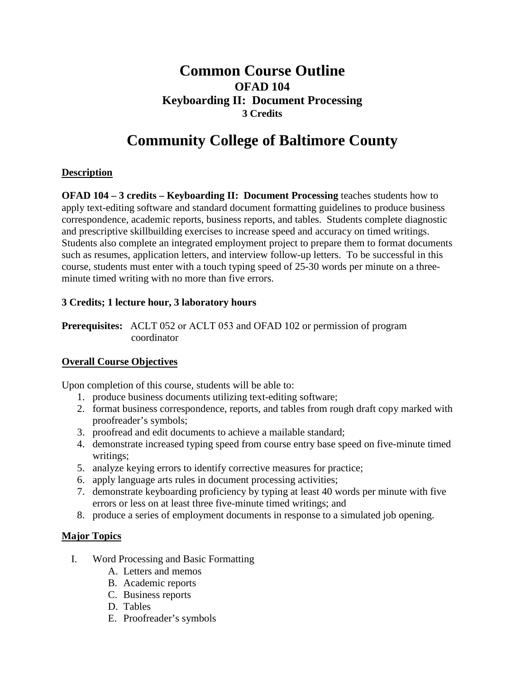## **Common Course Outline OFAD 104 Keyboarding II: Document Processing 3 Credits**

# **Community College of Baltimore County**

### **Description**

**OFAD 104 – 3 credits – Keyboarding II: Document Processing** teaches students how to apply text-editing software and standard document formatting guidelines to produce business correspondence, academic reports, business reports, and tables. Students complete diagnostic and prescriptive skillbuilding exercises to increase speed and accuracy on timed writings. Students also complete an integrated employment project to prepare them to format documents such as resumes, application letters, and interview follow-up letters. To be successful in this course, students must enter with a touch typing speed of 25-30 words per minute on a threeminute timed writing with no more than five errors.

#### **3 Credits; 1 lecture hour, 3 laboratory hours**

**Prerequisites:** ACLT 052 or ACLT 053 and OFAD 102 or permission of program coordinator

#### **Overall Course Objectives**

Upon completion of this course, students will be able to:

- 1. produce business documents utilizing text-editing software;
- 2. format business correspondence, reports, and tables from rough draft copy marked with proofreader's symbols;
- 3. proofread and edit documents to achieve a mailable standard;
- 4. demonstrate increased typing speed from course entry base speed on five-minute timed writings;
- 5. analyze keying errors to identify corrective measures for practice;
- 6. apply language arts rules in document processing activities;
- 7. demonstrate keyboarding proficiency by typing at least 40 words per minute with five errors or less on at least three five-minute timed writings; and
- 8. produce a series of employment documents in response to a simulated job opening.

#### **Major Topics**

- I. Word Processing and Basic Formatting
	- A. Letters and memos
	- B. Academic reports
	- C. Business reports
	- D. Tables
	- E. Proofreader's symbols